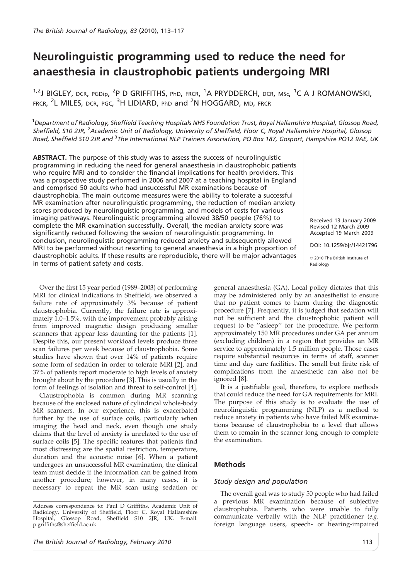# Neurolinguistic programming used to reduce the need for anaesthesia in claustrophobic patients undergoing MRI

<sup>1,2</sup>J BIGLEY, DCR, PGDip, <sup>2</sup>P D GRIFFITHS, PhD, FRCR, <sup>1</sup>A PRYDDERCH, DCR, MSc, <sup>1</sup>C A J ROMANOWSKI, FRCR, <sup>2</sup>L MILES, DCR, PGC, <sup>3</sup>H LIDIARD, PhD and <sup>2</sup>N HOGGARD, MD, FRCR

<sup>1</sup>Department of Radiology, Sheffield Teaching Hospitals NHS Foundation Trust, Royal Hallamshire Hospital, Glossop Road, Sheffield, S10 2JR, <sup>2</sup>Academic Unit of Radiology, University of Sheffield, Floor C, Royal Hallamshire Hospital, Glossop Road, Sheffield S10 2JR and <sup>3</sup>The International NLP Trainers Association, PO Box 187, Gosport, Hampshire PO12 9AE, UK

ABSTRACT. The purpose of this study was to assess the success of neurolinguistic programming in reducing the need for general anaesthesia in claustrophobic patients who require MRI and to consider the financial implications for health providers. This was a prospective study performed in 2006 and 2007 at a teaching hospital in England and comprised 50 adults who had unsuccessful MR examinations because of claustrophobia. The main outcome measures were the ability to tolerate a successful MR examination after neurolinguistic programming, the reduction of median anxiety scores produced by neurolinguistic programming, and models of costs for various imaging pathways. Neurolinguistic programming allowed 38/50 people (76%) to complete the MR examination successfully. Overall, the median anxiety score was significantly reduced following the session of neurolinguistic programming. In conclusion, neurolinguistic programming reduced anxiety and subsequently allowed MRI to be performed without resorting to general anaesthesia in a high proportion of claustrophobic adults. If these results are reproducible, there will be major advantages in terms of patient safety and costs.

Over the first 15 year period (1989–2003) of performing MRI for clinical indications in Sheffield, we observed a failure rate of approximately 3% because of patient claustrophobia. Currently, the failure rate is approximately 1.0–1.5%, with the improvement probably arising from improved magnetic design producing smaller scanners that appear less daunting for the patients [1]. Despite this, our present workload levels produce three scan failures per week because of claustrophobia. Some studies have shown that over 14% of patients require some form of sedation in order to tolerate MRI [2], and 37% of patients report moderate to high levels of anxiety brought about by the procedure [3]. This is usually in the form of feelings of isolation and threat to self-control [4].

Claustrophobia is common during MR scanning because of the enclosed nature of cylindrical whole-body MR scanners. In our experience, this is exacerbated further by the use of surface coils, particularly when imaging the head and neck, even though one study claims that the level of anxiety is unrelated to the use of surface coils [5]. The specific features that patients find most distressing are the spatial restriction, temperature, duration and the acoustic noise [6]. When a patient undergoes an unsuccessful MR examination, the clinical team must decide if the information can be gained from another procedure; however, in many cases, it is necessary to repeat the MR scan using sedation or

The British Journal of Radiology, February 2010 113

Received 13 January 2009 Revised 12 March 2009 Accepted 19 March 2009

DOI: 10.1259/bjr/14421796

*'* 2010 The British Institute of Radiology

general anaesthesia (GA). Local policy dictates that this may be administered only by an anaesthetist to ensure that no patient comes to harm during the diagnostic procedure [7]. Frequently, it is judged that sedation will not be sufficient and the claustrophobic patient will request to be ''asleep'' for the procedure. We perform approximately 150 MR procedures under GA per annum (excluding children) in a region that provides an MR service to approximately 1.5 million people. Those cases require substantial resources in terms of staff, scanner time and day care facilities. The small but finite risk of complications from the anaesthetic can also not be ignored [8].

It is a justifiable goal, therefore, to explore methods that could reduce the need for GA requirements for MRI. The purpose of this study is to evaluate the use of neurolinguistic programming (NLP) as a method to reduce anxiety in patients who have failed MR examinations because of claustrophobia to a level that allows them to remain in the scanner long enough to complete the examination.

# Methods

### Study design and population

The overall goal was to study 50 people who had failed a previous MR examination because of subjective claustrophobia. Patients who were unable to fully communicate verbally with the NLP practitioner  $(e.g.$ foreign language users, speech- or hearing-impaired

Address correspondence to: Paul D Griffiths, Academic Unit of Radiology, University of Sheffield, Floor C, Royal Hallamshire Hospital, Glossop Road, Sheffield S10 2JR, UK. E-mail: p.griffiths@sheffield.ac.uk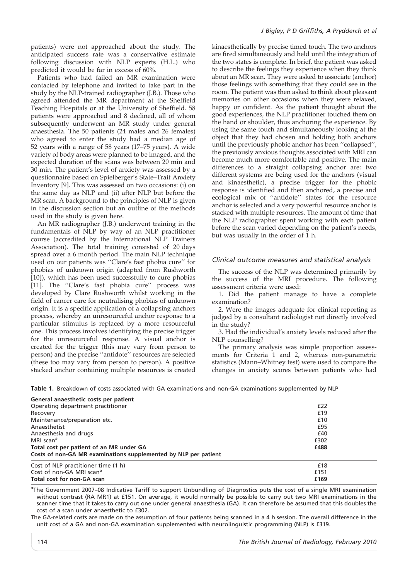patients) were not approached about the study. The anticipated success rate was a conservative estimate following discussion with NLP experts (H.L.) who predicted it would be far in excess of 60%.

Patients who had failed an MR examination were contacted by telephone and invited to take part in the study by the NLP-trained radiographer (J.B.). Those who agreed attended the MR department at the Sheffield Teaching Hospitals or at the University of Sheffield. 58 patients were approached and 8 declined, all of whom subsequently underwent an MR study under general anaesthesia. The 50 patients (24 males and 26 females) who agreed to enter the study had a median age of 52 years with a range of 58 years (17–75 years). A wide variety of body areas were planned to be imaged, and the expected duration of the scans was between 20 min and 30 min. The patient's level of anxiety was assessed by a questionnaire based on Spielberger's State–Trait Anxiety Inventory [9]. This was assessed on two occasions: (i) on the same day as NLP and (ii) after NLP but before the MR scan. A background to the principles of NLP is given in the discussion section but an outline of the methods used in the study is given here.

An MR radiographer (J.B.) underwent training in the fundamentals of NLP by way of an NLP practitioner course (accredited by the International NLP Trainers Association). The total training consisted of 20 days spread over a 6 month period. The main NLP technique used on our patients was ''Clare's fast phobia cure'' for phobias of unknown origin (adapted from Rushworth [10]), which has been used successfully to cure phobias [11]. The ''Clare's fast phobia cure'' process was developed by Clare Rushworth whilst working in the field of cancer care for neutralising phobias of unknown origin. It is a specific application of a collapsing anchors process, whereby an unresourceful anchor response to a particular stimulus is replaced by a more resourceful one. This process involves identifying the precise trigger for the unresourceful response. A visual anchor is created for the trigger (this may vary from person to person) and the precise ''antidote'' resources are selected (these too may vary from person to person). A positive stacked anchor containing multiple resources is created kinaesthetically by precise timed touch. The two anchors are fired simultaneously and held until the integration of the two states is complete. In brief, the patient was asked to describe the feelings they experience when they think about an MR scan. They were asked to associate (anchor) those feelings with something that they could see in the room. The patient was then asked to think about pleasant memories on other occasions when they were relaxed, happy or confident. As the patient thought about the good experiences, the NLP practitioner touched them on the hand or shoulder, thus anchoring the experience. By using the same touch and simultaneously looking at the object that they had chosen and holding both anchors until the previously phobic anchor has been ''collapsed'', the previously anxious thoughts associated with MRI can become much more comfortable and positive. The main differences to a straight collapsing anchor are: two different systems are being used for the anchors (visual and kinaesthetic), a precise trigger for the phobic response is identified and then anchored, a precise and ecological mix of ''antidote'' states for the resource anchor is selected and a very powerful resource anchor is stacked with multiple resources. The amount of time that the NLP radiographer spent working with each patient before the scan varied depending on the patient's needs, but was usually in the order of 1 h.

## Clinical outcome measures and statistical analysis

The success of the NLP was determined primarily by the success of the MRI procedure. The following assessment criteria were used:

1. Did the patient manage to have a complete examination?

2. Were the images adequate for clinical reporting as judged by a consultant radiologist not directly involved in the study?

3. Had the individual's anxiety levels reduced after the NLP counselling?

The primary analysis was simple proportion assessments for Criteria 1 and 2, whereas non-parametric statistics (Mann–Whitney test) were used to compare the changes in anxiety scores between patients who had

|  |  |  |  | Table 1. Breakdown of costs associated with GA examinations and non-GA examinations supplemented by NLP |  |  |  |  |
|--|--|--|--|---------------------------------------------------------------------------------------------------------|--|--|--|--|
|--|--|--|--|---------------------------------------------------------------------------------------------------------|--|--|--|--|

| General anaesthetic costs per patient                           |      |  |  |  |  |  |  |
|-----------------------------------------------------------------|------|--|--|--|--|--|--|
| Operating department practitioner                               | £22  |  |  |  |  |  |  |
| Recovery                                                        | £19  |  |  |  |  |  |  |
| Maintenance/preparation etc.                                    | £10  |  |  |  |  |  |  |
| Anaesthetist                                                    | £95  |  |  |  |  |  |  |
| Anaesthesia and drugs                                           | £40  |  |  |  |  |  |  |
| MRI scan <sup>a</sup>                                           | £302 |  |  |  |  |  |  |
| Total cost per patient of an MR under GA                        | £488 |  |  |  |  |  |  |
| Costs of non-GA MR examinations supplemented by NLP per patient |      |  |  |  |  |  |  |
| Cost of NLP practitioner time (1 h)                             | £18  |  |  |  |  |  |  |
| Cost of non-GA MRI scan <sup>a</sup>                            | £151 |  |  |  |  |  |  |
| Total cost for non-GA scan                                      | £169 |  |  |  |  |  |  |
|                                                                 |      |  |  |  |  |  |  |

<sup>a</sup>The Government 2007–08 Indicative Tariff to support Unbundling of Diagnostics puts the cost of a single MRI examination without contrast (RA MR1) at £151. On average, it would normally be possible to carry out two MRI examinations in the scanner time that it takes to carry out one under general anaesthesia (GA). It can therefore be assumed that this doubles the cost of a scan under anaesthetic to £302.

The GA-related costs are made on the assumption of four patients being scanned in a 4 h session. The overall difference in the unit cost of a GA and non-GA examination supplemented with neurolinguistic programming (NLP) is £319.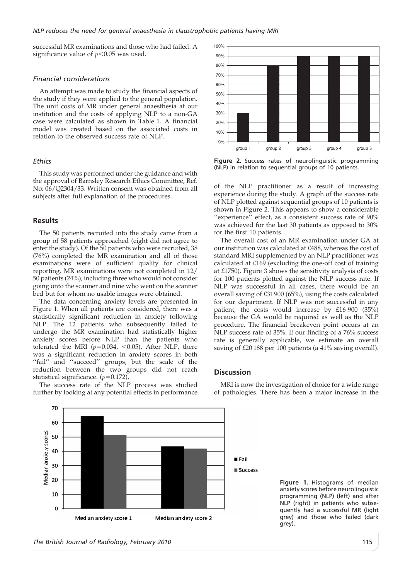successful MR examinations and those who had failed. A significance value of  $p<0.05$  was used.

#### Financial considerations

An attempt was made to study the financial aspects of the study if they were applied to the general population. The unit costs of MR under general anaesthesia at our institution and the costs of applying NLP to a non-GA case were calculated as shown in Table 1. A financial model was created based on the associated costs in relation to the observed success rate of NLP.

## **Ethics**

This study was performed under the guidance and with the approval of Barnsley Research Ethics Committee, Ref. No: 06/Q2304/33. Written consent was obtained from all subjects after full explanation of the procedures.

### Results

The 50 patients recruited into the study came from a group of 58 patients approached (eight did not agree to enter the study). Of the 50 patients who were recruited, 38 (76%) completed the MR examination and all of those examinations were of sufficient quality for clinical reporting. MR examinations were not completed in 12/ 50 patients (24%), including three who would not consider going onto the scanner and nine who went on the scanner bed but for whom no usable images were obtained.

The data concerning anxiety levels are presented in Figure 1. When all patients are considered, there was a statistically significant reduction in anxiety following NLP. The 12 patients who subsequently failed to undergo the MR examination had statistically higher anxiety scores before NLP than the patients who tolerated the MRI ( $p=0.034$ , <0.05). After NLP, there was a significant reduction in anxiety scores in both "fail" and "succeed" groups, but the scale of the reduction between the two groups did not reach statistical significance.  $(p=0.172)$ .

The success rate of the NLP process was studied further by looking at any potential effects in performance



Figure 2. Success rates of neurolinguistic programming (NLP) in relation to sequential groups of 10 patients.

of the NLP practitioner as a result of increasing experience during the study. A graph of the success rate of NLP plotted against sequential groups of 10 patients is shown in Figure 2. This appears to show a considerable ''experience'' effect, as a consistent success rate of 90% was achieved for the last 30 patients as opposed to 30% for the first 10 patients.

The overall cost of an MR examination under GA at our institution was calculated at £488, whereas the cost of standard MRI supplemented by an NLP practitioner was calculated at £169 (excluding the one-off cost of training at £1750). Figure 3 shows the sensitivity analysis of costs for 100 patients plotted against the NLP success rate. If NLP was successful in all cases, there would be an overall saving of £31 900 (65%), using the costs calculated for our department. If NLP was not successful in any patient, the costs would increase by £16 900 (35%) because the GA would be required as well as the NLP procedure. The financial breakeven point occurs at an NLP success rate of 35%. If our finding of a 76% success rate is generally applicable, we estimate an overall saving of £20 188 per 100 patients (a 41% saving overall).

### **Discussion**

MRI is now the investigation of choice for a wide range of pathologies. There has been a major increase in the



Figure 1. Histograms of median anxiety scores before neurolinguistic programming (NLP) (left) and after NLP (right) in patients who subsequently had a successful MR (light grey) and those who failed (dark grey).

#### The British Journal of Radiology, February 2010 115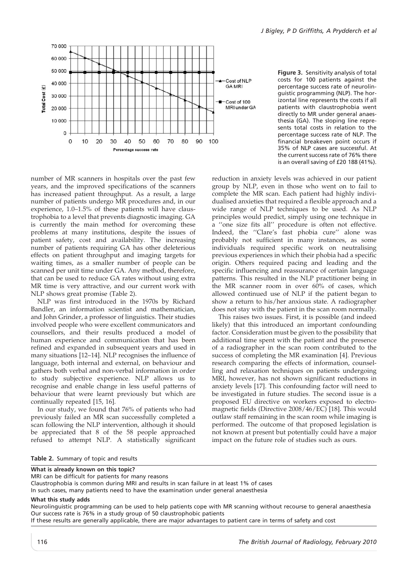

Figure 3. Sensitivity analysis of total costs for 100 patients against the percentage success rate of neurolinguistic programming (NLP). The horizontal line represents the costs if all patients with claustrophobia went directly to MR under general anaesthesia (GA). The sloping line represents total costs in relation to the percentage success rate of NLP. The financial breakeven point occurs if 35% of NLP cases are successful. At the current success rate of 76% there is an overall saving of £20 188 (41%).

number of MR scanners in hospitals over the past few years, and the improved specifications of the scanners has increased patient throughput. As a result, a large number of patients undergo MR procedures and, in our experience, 1.0–1.5% of these patients will have claustrophobia to a level that prevents diagnostic imaging. GA is currently the main method for overcoming these problems at many institutions, despite the issues of patient safety, cost and availability. The increasing number of patients requiring GA has other deleterious effects on patient throughput and imaging targets for waiting times, as a smaller number of people can be scanned per unit time under GA. Any method, therefore, that can be used to reduce GA rates without using extra MR time is very attractive, and our current work with NLP shows great promise (Table 2).

NLP was first introduced in the 1970s by Richard Bandler, an information scientist and mathematician, and John Grinder, a professor of linguistics. Their studies involved people who were excellent communicators and counsellors, and their results produced a model of human experience and communication that has been refined and expanded in subsequent years and used in many situations [12–14]. NLP recognises the influence of language, both internal and external, on behaviour and gathers both verbal and non-verbal information in order to study subjective experience. NLP allows us to recognise and enable change in less useful patterns of behaviour that were learnt previously but which are continually repeated [15, 16].

In our study, we found that 76% of patients who had previously failed an MR scan successfully completed a scan following the NLP intervention, although it should be appreciated that 8 of the 58 people approached refused to attempt NLP. A statistically significant reduction in anxiety levels was achieved in our patient group by NLP, even in those who went on to fail to complete the MR scan. Each patient had highly individualised anxieties that required a flexible approach and a wide range of NLP techniques to be used. As NLP principles would predict, simply using one technique in a ''one size fits all'' procedure is often not effective. Indeed, the ''Clare's fast phobia cure'' alone was probably not sufficient in many instances, as some individuals required specific work on neutralising previous experiences in which their phobia had a specific origin. Others required pacing and leading and the specific influencing and reassurance of certain language patterns. This resulted in the NLP practitioner being in the MR scanner room in over 60% of cases, which allowed continued use of NLP if the patient began to show a return to his/her anxious state. A radiographer does not stay with the patient in the scan room normally.

This raises two issues. First, it is possible (and indeed likely) that this introduced an important confounding factor. Consideration must be given to the possibility that additional time spent with the patient and the presence of a radiographer in the scan room contributed to the success of completing the MR examination [4]. Previous research comparing the effects of information, counselling and relaxation techniques on patients undergoing MRI, however, has not shown significant reductions in anxiety levels [17]. This confounding factor will need to be investigated in future studies. The second issue is a proposed EU directive on workers exposed to electromagnetic fields (Directive 2008/46/EC) [18]. This would outlaw staff remaining in the scan room while imaging is performed. The outcome of that proposed legislation is not known at present but potentially could have a major impact on the future role of studies such as ours.

Table 2. Summary of topic and results

What is already known on this topic? MRI can be difficult for patients for many reasons Claustrophobia is common during MRI and results in scan failure in at least 1% of cases In such cases, many patients need to have the examination under general anaesthesia

#### What this study adds

Neurolinguistic programming can be used to help patients cope with MR scanning without recourse to general anaesthesia Our success rate is 76% in a study group of 50 claustrophobic patients If these results are generally applicable, there are major advantages to patient care in terms of safety and cost